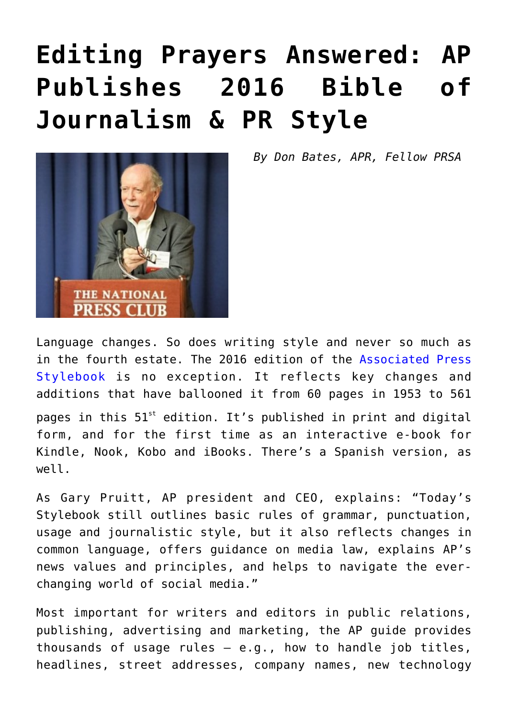## **[Editing Prayers Answered: AP](https://www.commpro.biz/editing-prayers-answered-ap-publishes-2016-bible-of-journalism-pr-style/) [Publishes 2016 Bible of](https://www.commpro.biz/editing-prayers-answered-ap-publishes-2016-bible-of-journalism-pr-style/) [Journalism & PR Style](https://www.commpro.biz/editing-prayers-answered-ap-publishes-2016-bible-of-journalism-pr-style/)**



*By Don Bates, APR, Fellow PRSA*

Language changes. So does writing style and never so much as in the fourth estate. The 2016 edition of the [Associated Press](https://www.apstylebook.com/) [Stylebook](https://www.apstylebook.com/) is no exception. It reflects key changes and additions that have ballooned it from 60 pages in 1953 to 561 pages in this  $51<sup>st</sup>$  edition. It's published in print and digital form, and for the first time as an interactive e-book for Kindle, Nook, Kobo and iBooks. There's a Spanish version, as well.

As Gary Pruitt, AP president and CEO, explains: "Today's Stylebook still outlines basic rules of grammar, punctuation, usage and journalistic style, but it also reflects changes in common language, offers guidance on media law, explains AP's news values and principles, and helps to navigate the everchanging world of social media."

Most important for writers and editors in public relations, publishing, advertising and marketing, the AP guide provides thousands of usage rules — e.g., how to handle job titles, headlines, street addresses, company names, new technology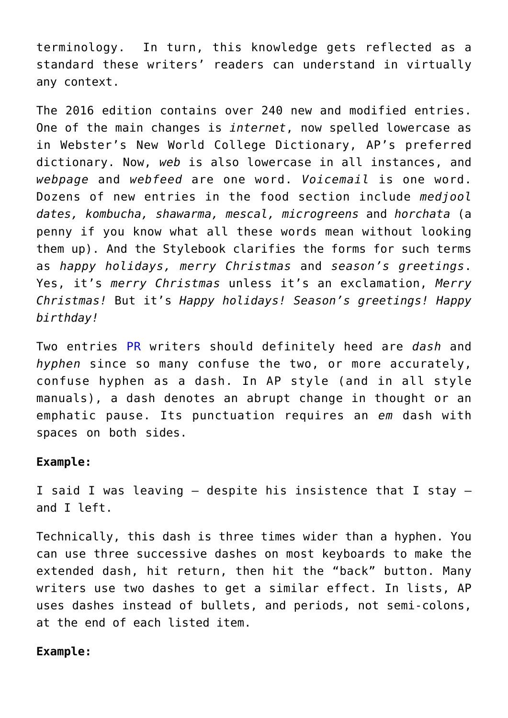terminology. In turn, this knowledge gets reflected as a standard these writers' readers can understand in virtually any context.

The 2016 edition contains over 240 new and modified entries. One of the main changes is *internet*, now spelled lowercase as in Webster's New World College Dictionary, AP's preferred dictionary. Now, *web* is also lowercase in all instances, and *webpage* and *webfeed* are one word. *Voicemail* is one word. Dozens of new entries in the food section include *medjool dates, kombucha, shawarma, mescal, microgreens* and *horchata* (a penny if you know what all these words mean without looking them up). And the Stylebook clarifies the forms for such terms as *happy holidays, merry Christmas* and *season's greetings*. Yes, it's *merry Christmas* unless it's an exclamation, *Merry Christmas!* But it's *Happy holidays! Season's greetings! Happy birthday!*

Two entries [PR](https://www.commpro.biz/public-relations-section/) writers should definitely heed are *dash* and *hyphen* since so many confuse the two, or more accurately, confuse hyphen as a dash. In AP style (and in all style manuals), a dash denotes an abrupt change in thought or an emphatic pause. Its punctuation requires an *em* dash with spaces on both sides.

## **Example:**

I said I was leaving — despite his insistence that I stay and I left.

Technically, this dash is three times wider than a hyphen. You can use three successive dashes on most keyboards to make the extended dash, hit return, then hit the "back" button. Many writers use two dashes to get a similar effect. In lists, AP uses dashes instead of bullets, and periods, not semi-colons, at the end of each listed item.

## **Example:**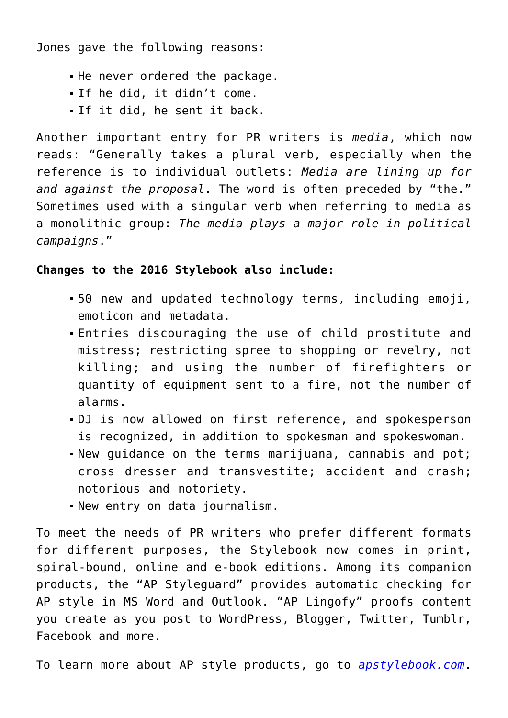Jones gave the following reasons:

- . He never ordered the package.
- If he did, it didn't come.
- If it did, he sent it back.

Another important entry for PR writers is *media*, which now reads: "Generally takes a plural verb, especially when the reference is to individual outlets: *Media are lining up for and against the proposal*. The word is often preceded by "the." Sometimes used with a singular verb when referring to media as a monolithic group: *The media plays a major role in political campaigns*."

## **Changes to the 2016 Stylebook also include:**

- 50 new and updated technology terms, including emoji, emoticon and metadata.
- Entries discouraging the use of child prostitute and mistress; restricting spree to shopping or revelry, not killing; and using the number of firefighters or quantity of equipment sent to a fire, not the number of alarms.
- DJ is now allowed on first reference, and spokesperson is recognized, in addition to spokesman and spokeswoman.
- New guidance on the terms marijuana, cannabis and pot; cross dresser and transvestite; accident and crash; notorious and notoriety.
- New entry on data journalism.

To meet the needs of PR writers who prefer different formats for different purposes, the Stylebook now comes in print, spiral-bound, online and e-book editions. Among its companion products, the "AP Styleguard" provides automatic checking for AP style in MS Word and Outlook. "AP Lingofy" proofs content you create as you post to WordPress, Blogger, Twitter, Tumblr, Facebook and more.

To learn more about AP style products, go to *[apstylebook.com](https://www.apstylebook.com/)*.